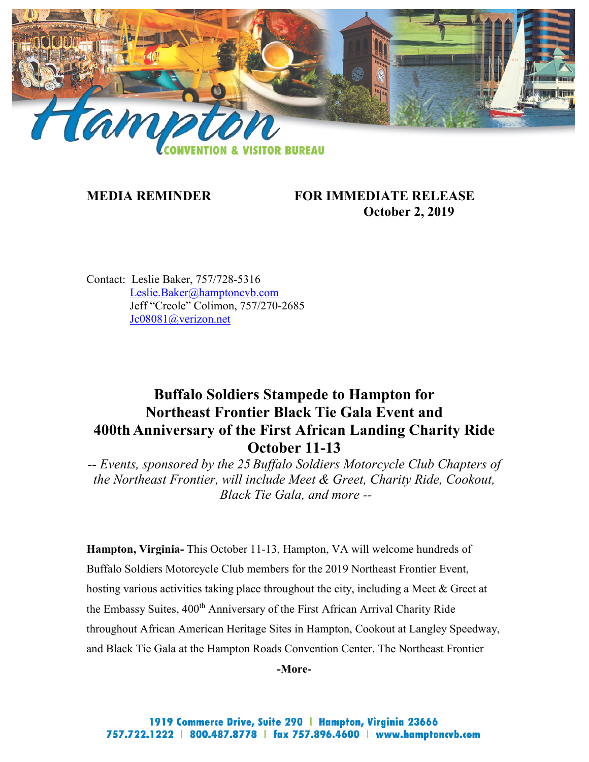

## **MEDIA REMINDER FOR IMMEDIATE RELEASE October 2, 2019**

Contact: Leslie Baker, 757/728-5316 [Leslie.Baker@hamptoncvb.com](mailto:Leslie.Baker@hamptoncvb.com) Jeff "Creole" Colimon, 757/270-2685 [Jc08081@verizon.net](mailto:Jc08081@verizon.net)

# **Buffalo Soldiers Stampede to Hampton for Northeast Frontier Black Tie Gala Event and 400th Anniversary of the First African Landing Charity Ride October 11-13**

*-- Events, sponsored by the 25 Buffalo Soldiers Motorcycle Club Chapters of the Northeast Frontier, will include Meet & Greet, Charity Ride, Cookout, Black Tie Gala, and more --*

**Hampton, Virginia-** This October 11-13, Hampton, VA will welcome hundreds of Buffalo Soldiers Motorcycle Club members for the 2019 Northeast Frontier Event, hosting various activities taking place throughout the city, including a Meet & Greet at the Embassy Suites, 400<sup>th</sup> Anniversary of the First African Arrival Charity Ride throughout African American Heritage Sites in Hampton, Cookout at Langley Speedway, and Black Tie Gala at the Hampton Roads Convention Center. The Northeast Frontier

**-More-**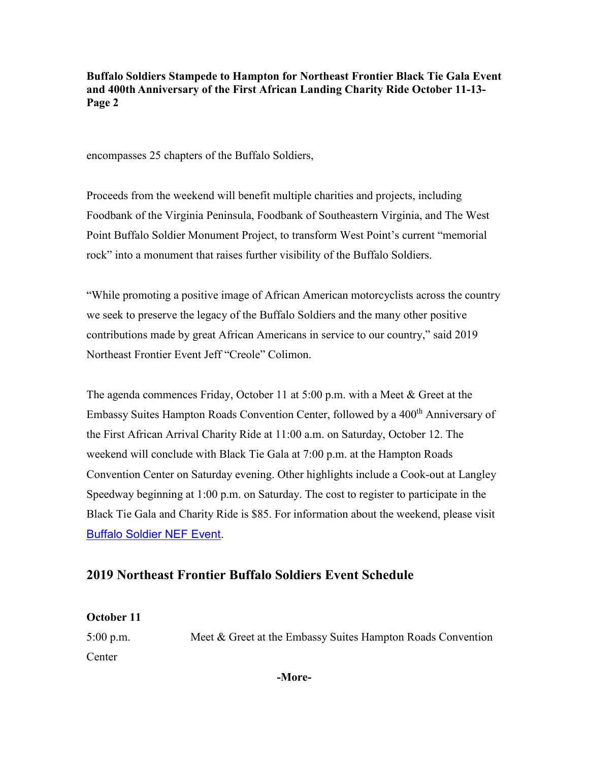encompasses 25 chapters of the Buffalo Soldiers,

Proceeds from the weekend will benefit multiple charities and projects, including Foodbank of the Virginia Peninsula, Foodbank of Southeastern Virginia, and The West Point Buffalo Soldier Monument Project, to transform West Point's current "memorial rock" into a monument that raises further visibility of the Buffalo Soldiers.

"While promoting a positive image of African American motorcyclists across the country we seek to preserve the legacy of the Buffalo Soldiers and the many other positive contributions made by great African Americans in service to our country," said 2019 Northeast Frontier Event Jeff "Creole" Colimon.

The agenda commences Friday, October 11 at 5:00 p.m. with a Meet & Greet at the Embassy Suites Hampton Roads Convention Center, followed by a 400<sup>th</sup> Anniversary of the First African Arrival Charity Ride at 11:00 a.m. on Saturday, October 12. The weekend will conclude with Black Tie Gala at 7:00 p.m. at the Hampton Roads Convention Center on Saturday evening. Other highlights include a Cook-out at Langley Speedway beginning at 1:00 p.m. on Saturday. The cost to register to participate in the Black Tie Gala and Charity Ride is \$85. For information about the weekend, please visit [Buffalo Soldier NEF Event.](https://www.northeastfrontierbstmc.com/ne-frontier-gala-event-2019/)

# **2019 Northeast Frontier Buffalo Soldiers Event Schedule**

#### **October 11**

5:00 p.m. Meet & Greet at the Embassy Suites Hampton Roads Convention **Center** 

**-More-**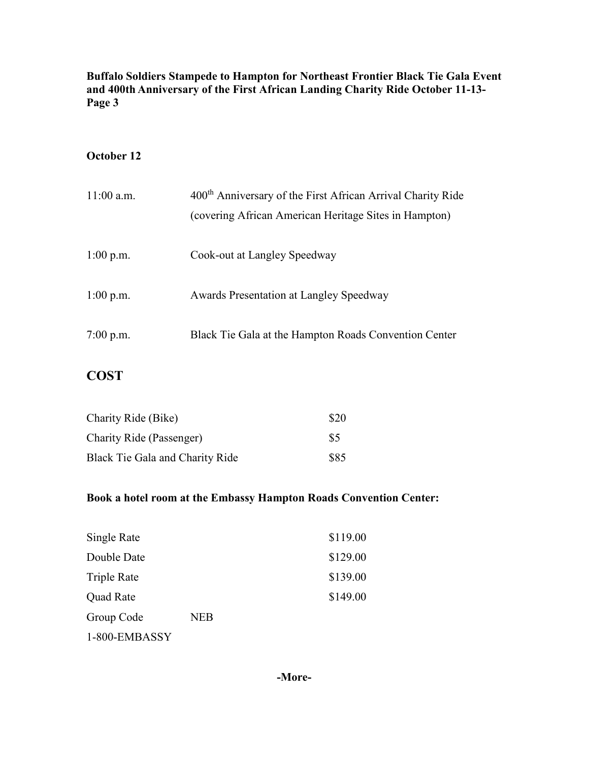### **October 12**

| $11:00$ a.m. | 400 <sup>th</sup> Anniversary of the First African Arrival Charity Ride<br>(covering African American Heritage Sites in Hampton) |  |
|--------------|----------------------------------------------------------------------------------------------------------------------------------|--|
|              |                                                                                                                                  |  |
| $1:00$ p.m.  | Cook-out at Langley Speedway                                                                                                     |  |
| $1:00$ p.m.  | Awards Presentation at Langley Speedway                                                                                          |  |
| $7:00$ p.m.  | Black Tie Gala at the Hampton Roads Convention Center                                                                            |  |

# **COST**

| Charity Ride (Bike)             | \$20 |
|---------------------------------|------|
| <b>Charity Ride (Passenger)</b> | \$5  |
| Black Tie Gala and Charity Ride | \$85 |

# **Book a hotel room at the Embassy Hampton Roads Convention Center:**

| Single Rate      | \$119.00   |          |
|------------------|------------|----------|
| Double Date      |            | \$129.00 |
| Triple Rate      |            | \$139.00 |
| <b>Quad Rate</b> |            | \$149.00 |
| Group Code       | <b>NEB</b> |          |
| 1-800-EMBASSY    |            |          |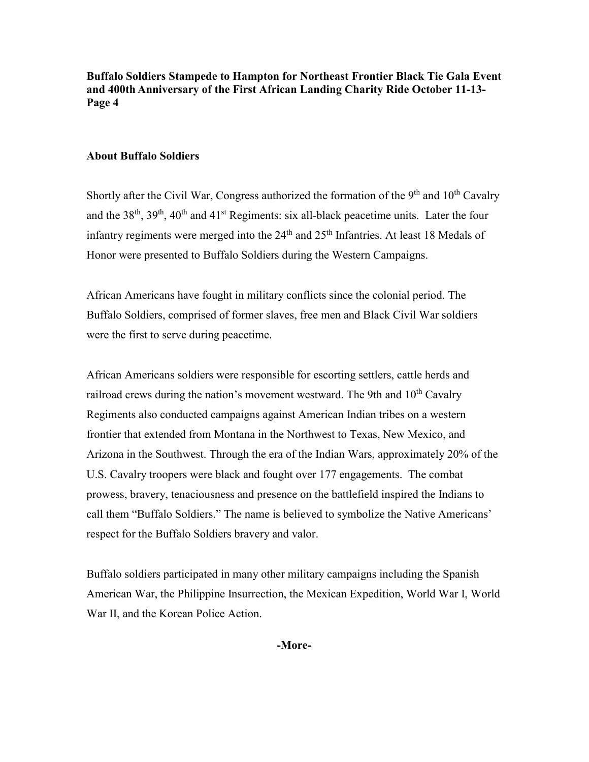#### **About Buffalo Soldiers**

Shortly after the Civil War, Congress authorized the formation of the  $9<sup>th</sup>$  and  $10<sup>th</sup>$  Cavalry and the  $38<sup>th</sup>$ ,  $39<sup>th</sup>$ ,  $40<sup>th</sup>$  and  $41<sup>st</sup>$  Regiments: six all-black peacetime units. Later the four infantry regiments were merged into the  $24<sup>th</sup>$  and  $25<sup>th</sup>$  Infantries. At least 18 Medals of Honor were presented to Buffalo Soldiers during the Western Campaigns.

African Americans have fought in military conflicts since the colonial period. The Buffalo Soldiers, comprised of former slaves, free men and Black Civil War soldiers were the first to serve during peacetime.

African Americans soldiers were responsible for escorting settlers, cattle herds and railroad crews during the nation's movement westward. The 9th and  $10<sup>th</sup>$  Cavalry Regiments also conducted campaigns against American Indian tribes on a western frontier that extended from Montana in the Northwest to Texas, New Mexico, and Arizona in the Southwest. Through the era of the Indian Wars, approximately 20% of the U.S. Cavalry troopers were black and fought over 177 engagements. The combat prowess, bravery, tenaciousness and presence on the battlefield inspired the Indians to call them "Buffalo Soldiers." The name is believed to symbolize the Native Americans' respect for the Buffalo Soldiers bravery and valor.

Buffalo soldiers participated in many other military campaigns including the Spanish American War, the Philippine Insurrection, the Mexican Expedition, World War I, World War II, and the Korean Police Action.

**-More-**